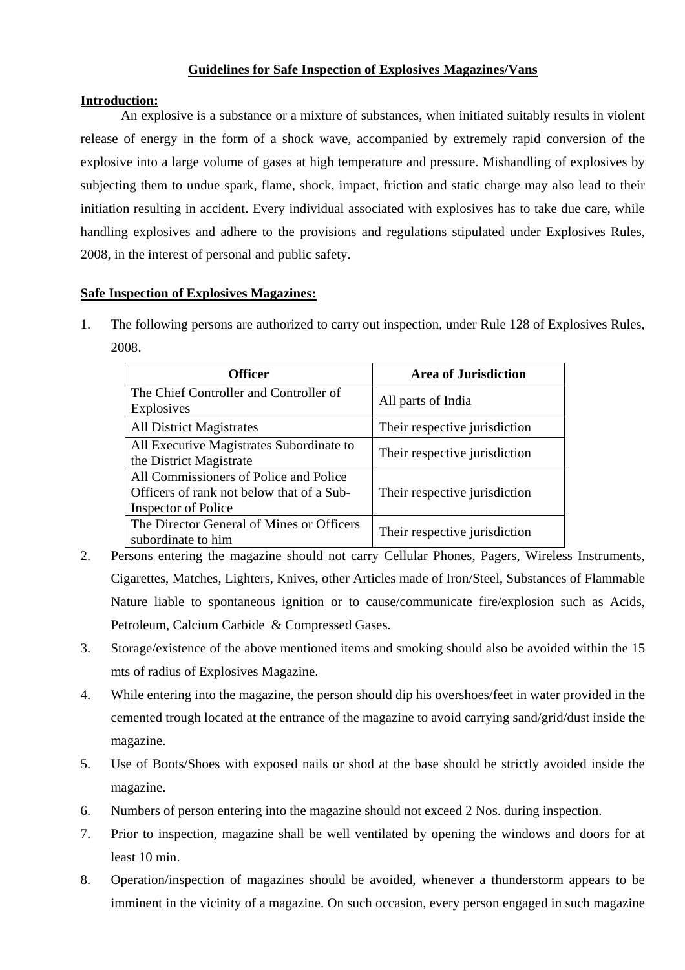# **Guidelines for Safe Inspection of Explosives Magazines/Vans**

## **Introduction:**

An explosive is a substance or a mixture of substances, when initiated suitably results in violent release of energy in the form of a shock wave, accompanied by extremely rapid conversion of the explosive into a large volume of gases at high temperature and pressure. Mishandling of explosives by subjecting them to undue spark, flame, shock, impact, friction and static charge may also lead to their initiation resulting in accident. Every individual associated with explosives has to take due care, while handling explosives and adhere to the provisions and regulations stipulated under Explosives Rules, 2008, in the interest of personal and public safety.

### **Safe Inspection of Explosives Magazines:**

1. The following persons are authorized to carry out inspection, under Rule 128 of Explosives Rules, 2008.

| <b>Officer</b>                                                                                                    | <b>Area of Jurisdiction</b>   |
|-------------------------------------------------------------------------------------------------------------------|-------------------------------|
| The Chief Controller and Controller of<br><b>Explosives</b>                                                       | All parts of India            |
| <b>All District Magistrates</b>                                                                                   | Their respective jurisdiction |
| All Executive Magistrates Subordinate to<br>the District Magistrate                                               | Their respective jurisdiction |
| All Commissioners of Police and Police<br>Officers of rank not below that of a Sub-<br><b>Inspector of Police</b> | Their respective jurisdiction |
| The Director General of Mines or Officers<br>subordinate to him                                                   | Their respective jurisdiction |

- 2. Persons entering the magazine should not carry Cellular Phones, Pagers, Wireless Instruments, Cigarettes, Matches, Lighters, Knives, other Articles made of Iron/Steel, Substances of Flammable Nature liable to spontaneous ignition or to cause/communicate fire/explosion such as Acids, Petroleum, Calcium Carbide & Compressed Gases.
- 3. Storage/existence of the above mentioned items and smoking should also be avoided within the 15 mts of radius of Explosives Magazine.
- 4. While entering into the magazine, the person should dip his overshoes/feet in water provided in the cemented trough located at the entrance of the magazine to avoid carrying sand/grid/dust inside the magazine.
- 5. Use of Boots/Shoes with exposed nails or shod at the base should be strictly avoided inside the magazine.
- 6. Numbers of person entering into the magazine should not exceed 2 Nos. during inspection.
- 7. Prior to inspection, magazine shall be well ventilated by opening the windows and doors for at least 10 min.
- 8. Operation/inspection of magazines should be avoided, whenever a thunderstorm appears to be imminent in the vicinity of a magazine. On such occasion, every person engaged in such magazine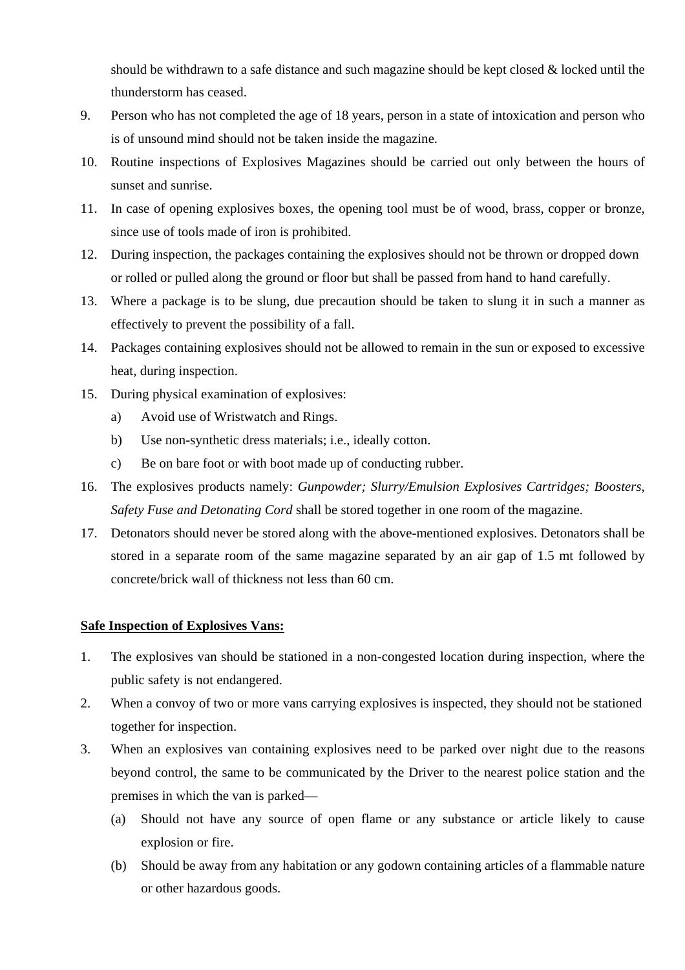should be withdrawn to a safe distance and such magazine should be kept closed & locked until the thunderstorm has ceased.

- 9. Person who has not completed the age of 18 years, person in a state of intoxication and person who is of unsound mind should not be taken inside the magazine.
- 10. Routine inspections of Explosives Magazines should be carried out only between the hours of sunset and sunrise.
- 11. In case of opening explosives boxes, the opening tool must be of wood, brass, copper or bronze, since use of tools made of iron is prohibited.
- 12. During inspection, the packages containing the explosives should not be thrown or dropped down or rolled or pulled along the ground or floor but shall be passed from hand to hand carefully.
- 13. Where a package is to be slung, due precaution should be taken to slung it in such a manner as effectively to prevent the possibility of a fall.
- 14. Packages containing explosives should not be allowed to remain in the sun or exposed to excessive heat, during inspection.
- 15. During physical examination of explosives:
	- a) Avoid use of Wristwatch and Rings.
	- b) Use non-synthetic dress materials; i.e., ideally cotton.
	- c) Be on bare foot or with boot made up of conducting rubber.
- 16. The explosives products namely: *Gunpowder; Slurry/Emulsion Explosives Cartridges; Boosters, Safety Fuse and Detonating Cord* shall be stored together in one room of the magazine.
- 17. Detonators should never be stored along with the above-mentioned explosives. Detonators shall be stored in a separate room of the same magazine separated by an air gap of 1.5 mt followed by concrete/brick wall of thickness not less than 60 cm.

# **Safe Inspection of Explosives Vans:**

- 1. The explosives van should be stationed in a non-congested location during inspection, where the public safety is not endangered.
- 2. When a convoy of two or more vans carrying explosives is inspected, they should not be stationed together for inspection.
- 3. When an explosives van containing explosives need to be parked over night due to the reasons beyond control, the same to be communicated by the Driver to the nearest police station and the premises in which the van is parked—
	- (a) Should not have any source of open flame or any substance or article likely to cause explosion or fire.
	- (b) Should be away from any habitation or any godown containing articles of a flammable nature or other hazardous goods.